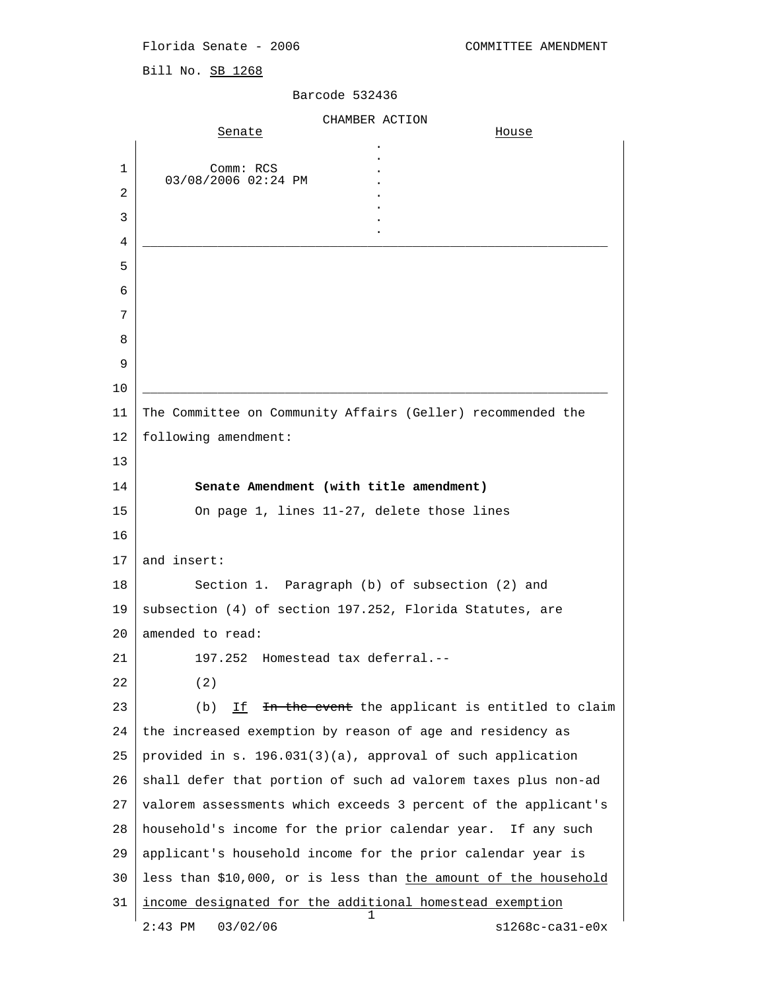Bill No. SB 1268

## Barcode 532436

|    | CHAMBER ACTION                                                  |
|----|-----------------------------------------------------------------|
|    | Senate<br>House                                                 |
| 1  | Comm: RCS                                                       |
| 2  | 03/08/2006 02:24 PM                                             |
| 3  |                                                                 |
| 4  |                                                                 |
| 5  |                                                                 |
| 6  |                                                                 |
| 7  |                                                                 |
| 8  |                                                                 |
| 9  |                                                                 |
| 10 |                                                                 |
| 11 | The Committee on Community Affairs (Geller) recommended the     |
| 12 | following amendment:                                            |
| 13 |                                                                 |
| 14 | Senate Amendment (with title amendment)                         |
| 15 | On page 1, lines 11-27, delete those lines                      |
| 16 |                                                                 |
| 17 | and insert:                                                     |
| 18 | Section 1. Paragraph (b) of subsection (2) and                  |
| 19 | subsection (4) of section 197.252, Florida Statutes, are        |
| 20 | amended to read:                                                |
| 21 | 197.252 Homestead tax deferral.--                               |
| 22 | (2)                                                             |
| 23 | (b)<br>In the event the applicant is entitled to claim<br>If    |
| 24 | the increased exemption by reason of age and residency as       |
| 25 | provided in s. 196.031(3)(a), approval of such application      |
| 26 | shall defer that portion of such ad valorem taxes plus non-ad   |
| 27 | valorem assessments which exceeds 3 percent of the applicant's  |
| 28 | household's income for the prior calendar year. If any such     |
| 29 | applicant's household income for the prior calendar year is     |
| 30 | less than \$10,000, or is less than the amount of the household |
| 31 | income designated for the additional homestead exemption        |
|    | $s1268c - ca31 - e0x$<br>2:43 PM<br>03/02/06                    |